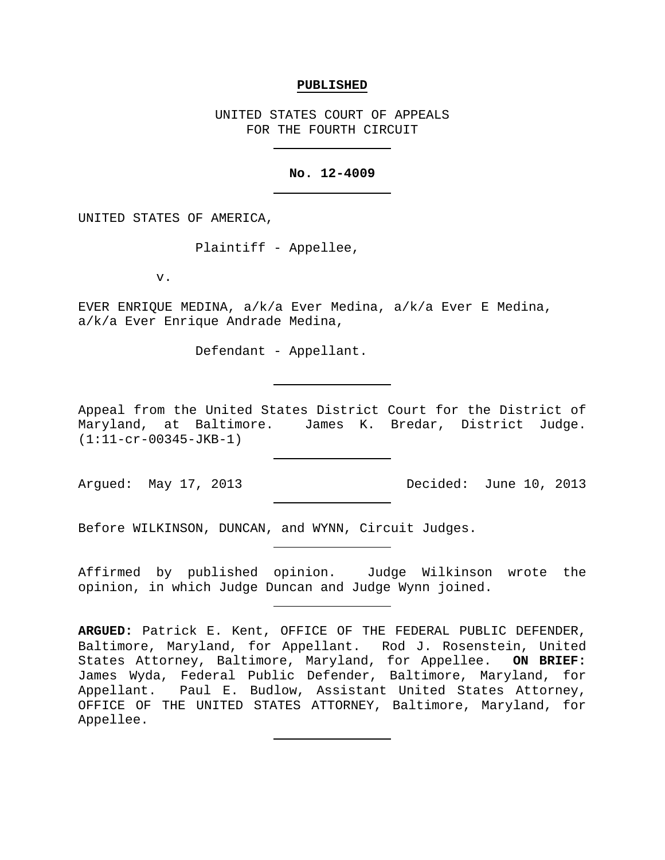### **PUBLISHED**

UNITED STATES COURT OF APPEALS FOR THE FOURTH CIRCUIT

## **No. 12-4009**

UNITED STATES OF AMERICA,

Plaintiff - Appellee,

v.

EVER ENRIQUE MEDINA, a/k/a Ever Medina, a/k/a Ever E Medina, a/k/a Ever Enrique Andrade Medina,

Defendant - Appellant.

Appeal from the United States District Court for the District of Maryland, at Baltimore. James K. Bredar, District Judge. (1:11-cr-00345-JKB-1)

Argued: May 17, 2013 Decided: June 10, 2013

Before WILKINSON, DUNCAN, and WYNN, Circuit Judges.

Affirmed by published opinion. Judge Wilkinson wrote the opinion, in which Judge Duncan and Judge Wynn joined.

**ARGUED:** Patrick E. Kent, OFFICE OF THE FEDERAL PUBLIC DEFENDER, Baltimore, Maryland, for Appellant. Rod J. Rosenstein, United States Attorney, Baltimore, Maryland, for Appellee. **ON BRIEF:** James Wyda, Federal Public Defender, Baltimore, Maryland, for Appellant. Paul E. Budlow, Assistant United States Attorney, OFFICE OF THE UNITED STATES ATTORNEY, Baltimore, Maryland, for Appellee.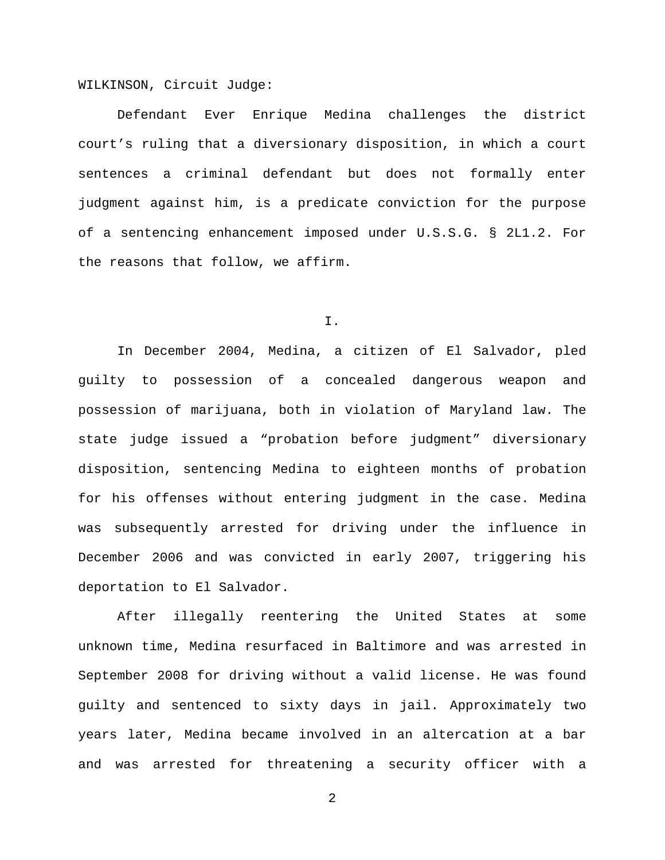WILKINSON, Circuit Judge:

Defendant Ever Enrique Medina challenges the district court's ruling that a diversionary disposition, in which a court sentences a criminal defendant but does not formally enter judgment against him, is a predicate conviction for the purpose of a sentencing enhancement imposed under U.S.S.G. § 2L1.2. For the reasons that follow, we affirm.

I.

In December 2004, Medina, a citizen of El Salvador, pled guilty to possession of a concealed dangerous weapon and possession of marijuana, both in violation of Maryland law. The state judge issued a "probation before judgment" diversionary disposition, sentencing Medina to eighteen months of probation for his offenses without entering judgment in the case. Medina was subsequently arrested for driving under the influence in December 2006 and was convicted in early 2007, triggering his deportation to El Salvador.

After illegally reentering the United States at some unknown time, Medina resurfaced in Baltimore and was arrested in September 2008 for driving without a valid license. He was found guilty and sentenced to sixty days in jail. Approximately two years later, Medina became involved in an altercation at a bar and was arrested for threatening a security officer with a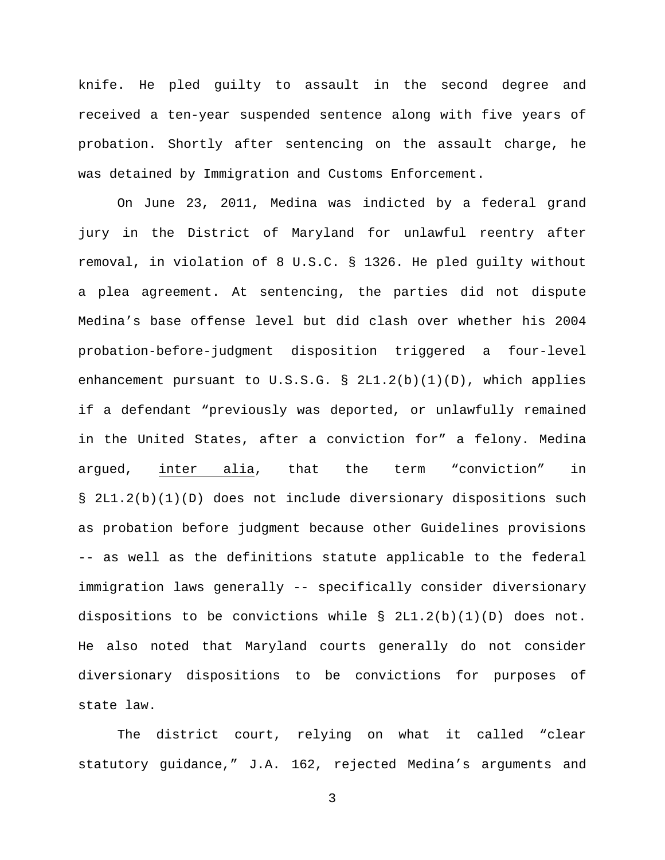knife. He pled guilty to assault in the second degree and received a ten-year suspended sentence along with five years of probation. Shortly after sentencing on the assault charge, he was detained by Immigration and Customs Enforcement.

On June 23, 2011, Medina was indicted by a federal grand jury in the District of Maryland for unlawful reentry after removal, in violation of 8 U.S.C. § 1326. He pled guilty without a plea agreement. At sentencing, the parties did not dispute Medina's base offense level but did clash over whether his 2004 probation-before-judgment disposition triggered a four-level enhancement pursuant to  $U.S.S.G. \S 2LI.2(b)(1)(D)$ , which applies if a defendant "previously was deported, or unlawfully remained in the United States, after a conviction for" a felony. Medina argued, inter alia, that the term "conviction" in § 2L1.2(b)(1)(D) does not include diversionary dispositions such as probation before judgment because other Guidelines provisions -- as well as the definitions statute applicable to the federal immigration laws generally -- specifically consider diversionary dispositions to be convictions while  $\S$  2L1.2(b)(1)(D) does not. He also noted that Maryland courts generally do not consider diversionary dispositions to be convictions for purposes of state law.

The district court, relying on what it called "clear statutory guidance," J.A. 162, rejected Medina's arguments and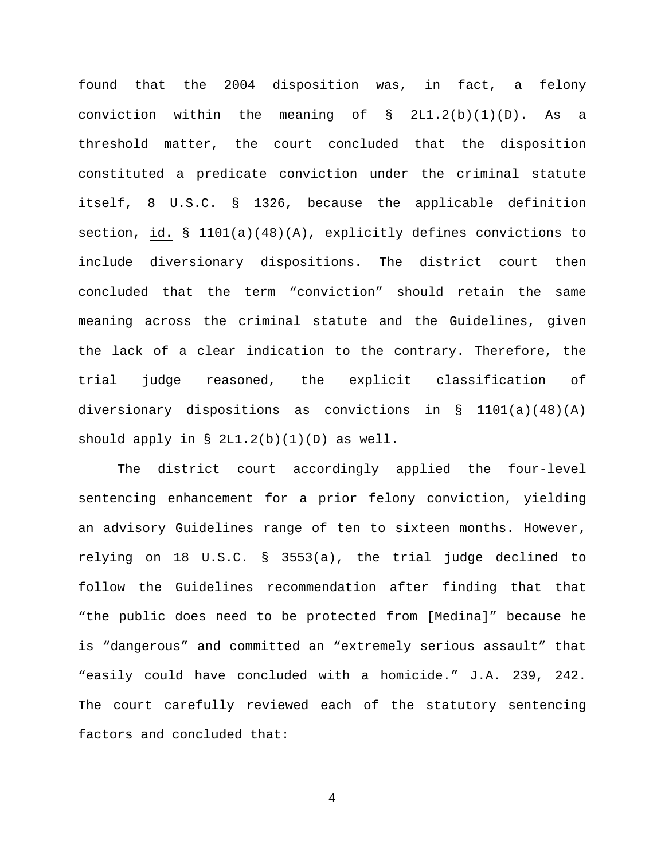found that the 2004 disposition was, in fact, a felony conviction within the meaning of  $\S$  2L1.2(b)(1)(D). As a threshold matter, the court concluded that the disposition constituted a predicate conviction under the criminal statute itself, 8 U.S.C. § 1326, because the applicable definition section, id. § 1101(a)(48)(A), explicitly defines convictions to include diversionary dispositions. The district court then concluded that the term "conviction" should retain the same meaning across the criminal statute and the Guidelines, given the lack of a clear indication to the contrary. Therefore, the trial judge reasoned, the explicit classification of diversionary dispositions as convictions in  $\S$  1101(a)(48)(A) should apply in  $\S$  2L1.2(b)(1)(D) as well.

The district court accordingly applied the four-level sentencing enhancement for a prior felony conviction, yielding an advisory Guidelines range of ten to sixteen months. However, relying on 18 U.S.C. § 3553(a), the trial judge declined to follow the Guidelines recommendation after finding that that "the public does need to be protected from [Medina]" because he is "dangerous" and committed an "extremely serious assault" that "easily could have concluded with a homicide." J.A. 239, 242. The court carefully reviewed each of the statutory sentencing factors and concluded that: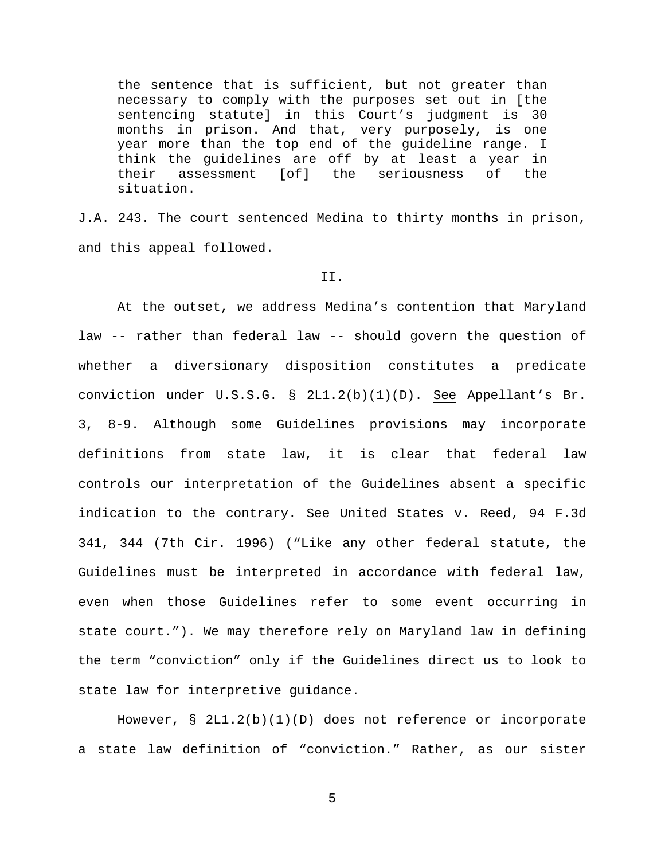the sentence that is sufficient, but not greater than necessary to comply with the purposes set out in [the sentencing statute] in this Court's judgment is 30 months in prison. And that, very purposely, is one year more than the top end of the guideline range. I think the guidelines are off by at least a year in their assessment [of] the seriousness of the situation.

J.A. 243. The court sentenced Medina to thirty months in prison, and this appeal followed.

### II.

At the outset, we address Medina's contention that Maryland law -- rather than federal law -- should govern the question of whether a diversionary disposition constitutes a predicate conviction under U.S.S.G. § 2L1.2(b)(1)(D). See Appellant's Br. 3, 8-9. Although some Guidelines provisions may incorporate definitions from state law, it is clear that federal law controls our interpretation of the Guidelines absent a specific indication to the contrary. See United States v. Reed, 94 F.3d 341, 344 (7th Cir. 1996) ("Like any other federal statute, the Guidelines must be interpreted in accordance with federal law, even when those Guidelines refer to some event occurring in state court."). We may therefore rely on Maryland law in defining the term "conviction" only if the Guidelines direct us to look to state law for interpretive guidance.

However,  $\S$  2L1.2(b)(1)(D) does not reference or incorporate a state law definition of "conviction." Rather, as our sister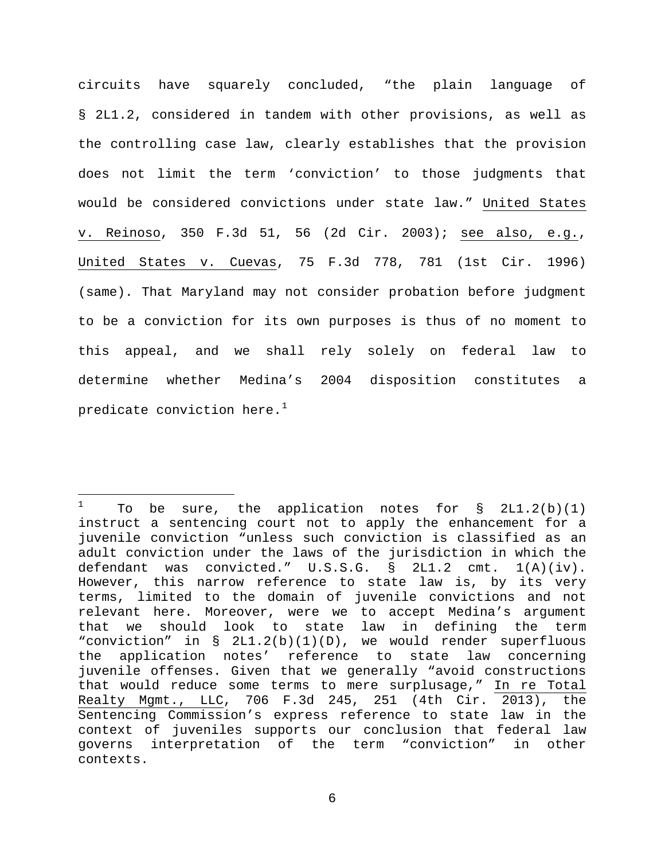circuits have squarely concluded, "the plain language of § 2L1.2, considered in tandem with other provisions, as well as the controlling case law, clearly establishes that the provision does not limit the term 'conviction' to those judgments that would be considered convictions under state law." United States v. Reinoso, 350 F.3d 51, 56 (2d Cir. 2003); see also, e.g., United States v. Cuevas, 75 F.3d 778, 781 (1st Cir. 1996) (same). That Maryland may not consider probation before judgment to be a conviction for its own purposes is thus of no moment to this appeal, and we shall rely solely on federal law to determine whether Medina's 2004 disposition constitutes a predicate conviction here. $1$ 

<span id="page-5-0"></span> $\mathbf{1}$ To be sure, the application notes for  $\S$  2L1.2(b)(1) instruct a sentencing court not to apply the enhancement for a juvenile conviction "unless such conviction is classified as an adult conviction under the laws of the jurisdiction in which the defendant was convicted."  $U.S.S.G. \S 2LI.2 \text{ cm}t. 1(A)(iv).$ defendant was convicted." U.S.S.G. § 2L1.2 cmt. However, this narrow reference to state law is, by its very terms, limited to the domain of juvenile convictions and not relevant here. Moreover, were we to accept Medina's argument that we should look to state law in defining the term "conviction" in § 2L1.2(b)(1)(D), we would render superfluous the application notes' reference to state law concerning juvenile offenses. Given that we generally "avoid constructions that would reduce some terms to mere surplusage," In re Total Realty Mgmt., LLC, 706 F.3d 245, 251 (4th Cir. 2013), the Sentencing Commission's express reference to state law in the context of juveniles supports our conclusion that federal law governs interpretation of the term "conviction" in other contexts.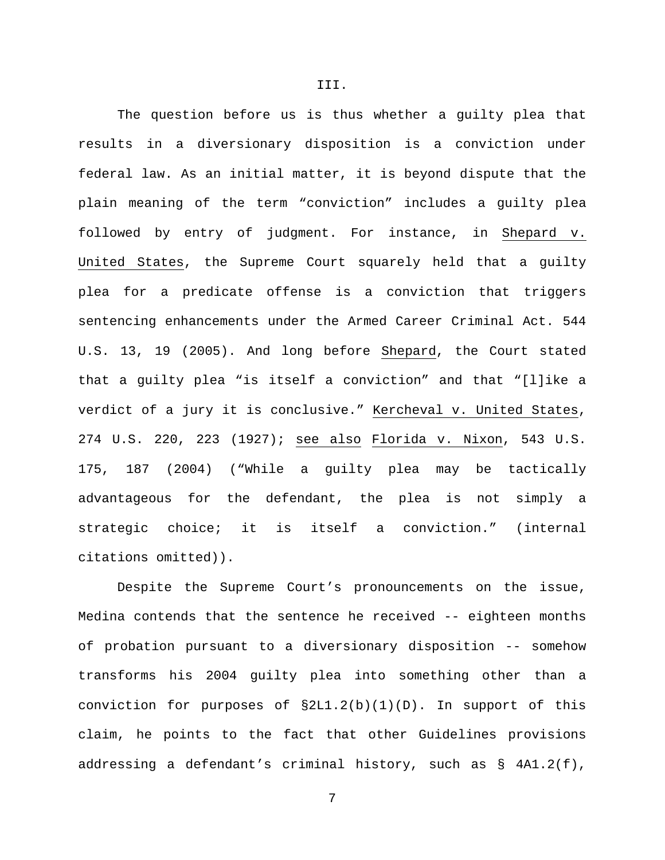The question before us is thus whether a guilty plea that results in a diversionary disposition is a conviction under federal law. As an initial matter, it is beyond dispute that the plain meaning of the term "conviction" includes a guilty plea followed by entry of judgment. For instance, in Shepard v. United States, the Supreme Court squarely held that a guilty plea for a predicate offense is a conviction that triggers sentencing enhancements under the Armed Career Criminal Act. 544 U.S. 13, 19 (2005). And long before Shepard, the Court stated that a guilty plea "is itself a conviction" and that "[l]ike a verdict of a jury it is conclusive." Kercheval v. United States, 274 U.S. 220, 223 (1927); see also Florida v. Nixon, 543 U.S. 175, 187 (2004) ("While a guilty plea may be tactically advantageous for the defendant, the plea is not simply a strategic choice; it is itself a conviction." (internal citations omitted)).

Despite the Supreme Court's pronouncements on the issue, Medina contends that the sentence he received -- eighteen months of probation pursuant to a diversionary disposition -- somehow transforms his 2004 guilty plea into something other than a conviction for purposes of  $\S2L1.2(b)(1)(D)$ . In support of this claim, he points to the fact that other Guidelines provisions addressing a defendant's criminal history, such as § 4A1.2(f),

7

III.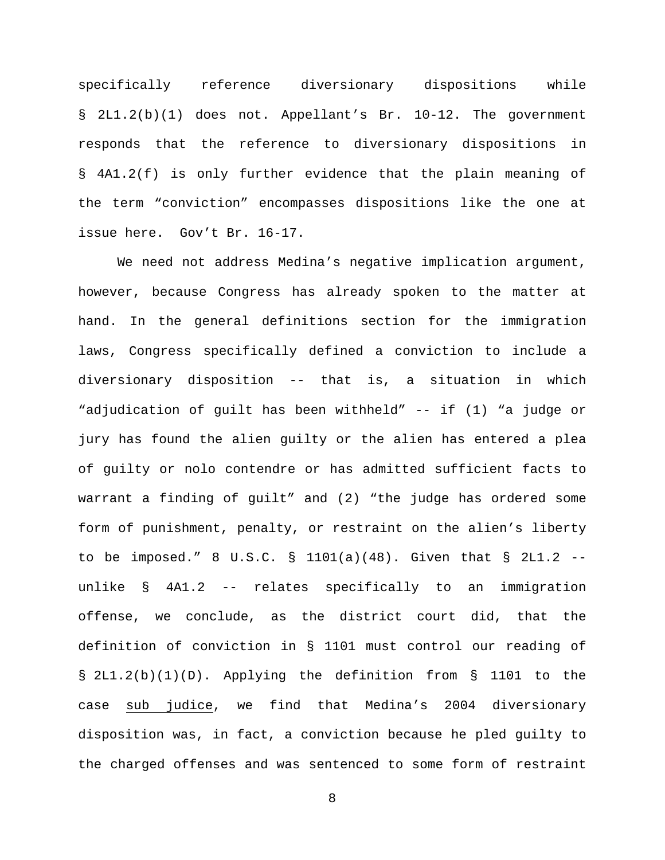specifically reference diversionary dispositions while § 2L1.2(b)(1) does not. Appellant's Br. 10-12. The government responds that the reference to diversionary dispositions in § 4A1.2(f) is only further evidence that the plain meaning of the term "conviction" encompasses dispositions like the one at issue here. Gov't Br. 16-17.

We need not address Medina's negative implication argument, however, because Congress has already spoken to the matter at hand. In the general definitions section for the immigration laws, Congress specifically defined a conviction to include a diversionary disposition -- that is, a situation in which "adjudication of guilt has been withheld" -- if (1) "a judge or jury has found the alien guilty or the alien has entered a plea of guilty or nolo contendre or has admitted sufficient facts to warrant a finding of guilt" and (2) "the judge has ordered some form of punishment, penalty, or restraint on the alien's liberty to be imposed." 8 U.S.C. § 1101(a)(48). Given that § 2L1.2  $$ unlike § 4A1.2 -- relates specifically to an immigration offense, we conclude, as the district court did, that the definition of conviction in § 1101 must control our reading of § 2L1.2(b)(1)(D). Applying the definition from § 1101 to the case sub judice, we find that Medina's 2004 diversionary disposition was, in fact, a conviction because he pled guilty to the charged offenses and was sentenced to some form of restraint